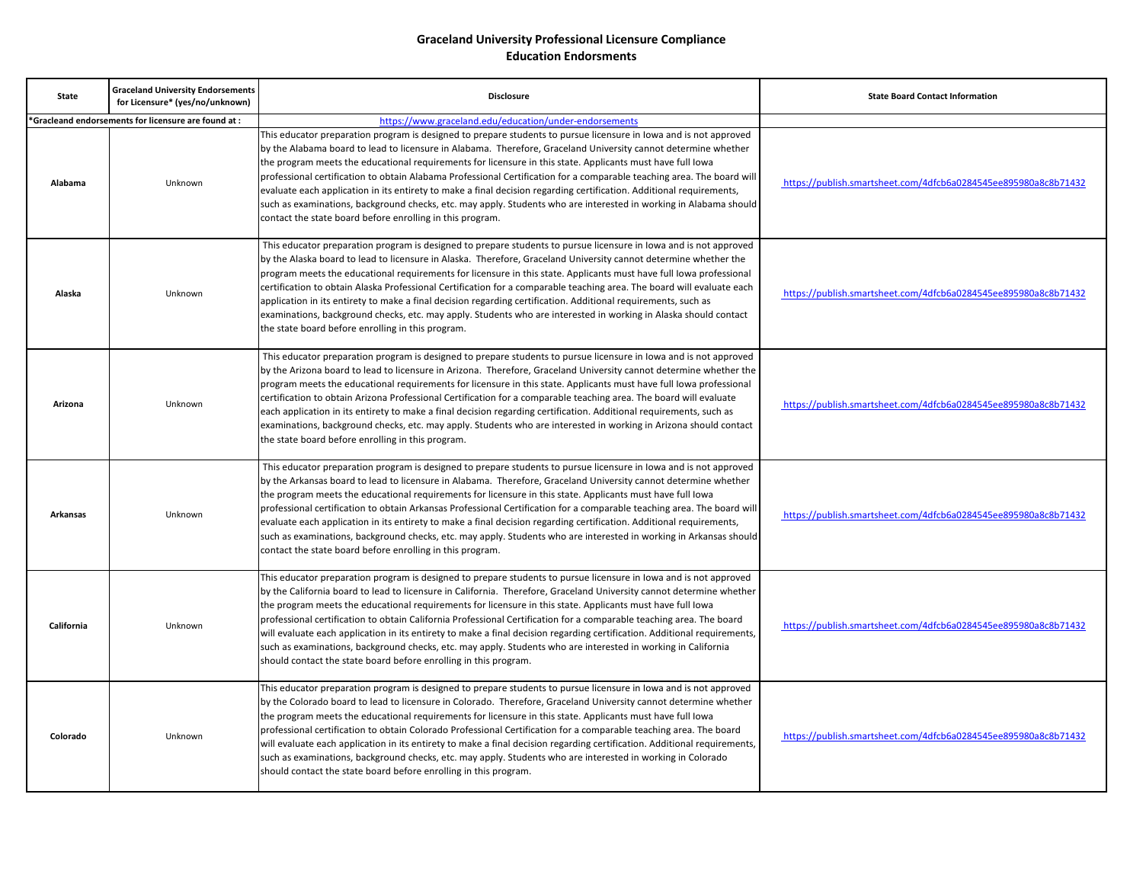| <b>State</b>    | <b>Graceland University Endorsements</b><br>for Licensure* (yes/no/unknown) | <b>Disclosure</b>                                                                                                                                                                                                                                                                                                                                                                                                                                                                                                                                                                                                                                                                                                                                                                                 | <b>State Board Contact Information</b>                          |
|-----------------|-----------------------------------------------------------------------------|---------------------------------------------------------------------------------------------------------------------------------------------------------------------------------------------------------------------------------------------------------------------------------------------------------------------------------------------------------------------------------------------------------------------------------------------------------------------------------------------------------------------------------------------------------------------------------------------------------------------------------------------------------------------------------------------------------------------------------------------------------------------------------------------------|-----------------------------------------------------------------|
|                 | 'Gracleand endorsements for licensure are found at :                        | https://www.graceland.edu/education/under-endorsements                                                                                                                                                                                                                                                                                                                                                                                                                                                                                                                                                                                                                                                                                                                                            |                                                                 |
| Alabama         | Unknown                                                                     | This educator preparation program is designed to prepare students to pursue licensure in Iowa and is not approved<br>by the Alabama board to lead to licensure in Alabama. Therefore, Graceland University cannot determine whether<br>the program meets the educational requirements for licensure in this state. Applicants must have full lowa<br>professional certification to obtain Alabama Professional Certification for a comparable teaching area. The board will<br>evaluate each application in its entirety to make a final decision regarding certification. Additional requirements,<br>such as examinations, background checks, etc. may apply. Students who are interested in working in Alabama should<br>contact the state board before enrolling in this program.             | https://publish.smartsheet.com/4dfcb6a0284545ee895980a8c8b71432 |
| Alaska          | Unknown                                                                     | This educator preparation program is designed to prepare students to pursue licensure in lowa and is not approved<br>by the Alaska board to lead to licensure in Alaska. Therefore, Graceland University cannot determine whether the<br>program meets the educational requirements for licensure in this state. Applicants must have full lowa professional<br>certification to obtain Alaska Professional Certification for a comparable teaching area. The board will evaluate each<br>application in its entirety to make a final decision regarding certification. Additional requirements, such as<br>examinations, background checks, etc. may apply. Students who are interested in working in Alaska should contact<br>the state board before enrolling in this program.                 | https://publish.smartsheet.com/4dfcb6a0284545ee895980a8c8b71432 |
| Arizona         | Unknown                                                                     | This educator preparation program is designed to prepare students to pursue licensure in lowa and is not approved<br>by the Arizona board to lead to licensure in Arizona. Therefore, Graceland University cannot determine whether the<br>program meets the educational requirements for licensure in this state. Applicants must have full lowa professional<br>certification to obtain Arizona Professional Certification for a comparable teaching area. The board will evaluate<br>each application in its entirety to make a final decision regarding certification. Additional requirements, such as<br>examinations, background checks, etc. may apply. Students who are interested in working in Arizona should contact<br>the state board before enrolling in this program.             | https://publish.smartsheet.com/4dfcb6a0284545ee895980a8c8b71432 |
| <b>Arkansas</b> | Unknown                                                                     | This educator preparation program is designed to prepare students to pursue licensure in lowa and is not approved<br>by the Arkansas board to lead to licensure in Alabama. Therefore, Graceland University cannot determine whether<br>the program meets the educational requirements for licensure in this state. Applicants must have full lowa<br>professional certification to obtain Arkansas Professional Certification for a comparable teaching area. The board will<br>evaluate each application in its entirety to make a final decision regarding certification. Additional requirements,<br>such as examinations, background checks, etc. may apply. Students who are interested in working in Arkansas should<br>contact the state board before enrolling in this program.          | https://publish.smartsheet.com/4dfcb6a0284545ee895980a8c8b71432 |
| California      | Unknown                                                                     | This educator preparation program is designed to prepare students to pursue licensure in lowa and is not approved<br>by the California board to lead to licensure in California. Therefore, Graceland University cannot determine whether<br>the program meets the educational requirements for licensure in this state. Applicants must have full lowa<br>professional certification to obtain California Professional Certification for a comparable teaching area. The board<br>will evaluate each application in its entirety to make a final decision regarding certification. Additional requirements,<br>such as examinations, background checks, etc. may apply. Students who are interested in working in California<br>should contact the state board before enrolling in this program. | https://publish.smartsheet.com/4dfcb6a0284545ee895980a8c8b71432 |
| Colorado        | Unknown                                                                     | This educator preparation program is designed to prepare students to pursue licensure in Iowa and is not approved<br>by the Colorado board to lead to licensure in Colorado. Therefore, Graceland University cannot determine whether<br>the program meets the educational requirements for licensure in this state. Applicants must have full lowa<br>professional certification to obtain Colorado Professional Certification for a comparable teaching area. The board<br>will evaluate each application in its entirety to make a final decision regarding certification. Additional requirements,<br>such as examinations, background checks, etc. may apply. Students who are interested in working in Colorado<br>should contact the state board before enrolling in this program.         | https://publish.smartsheet.com/4dfcb6a0284545ee895980a8c8b71432 |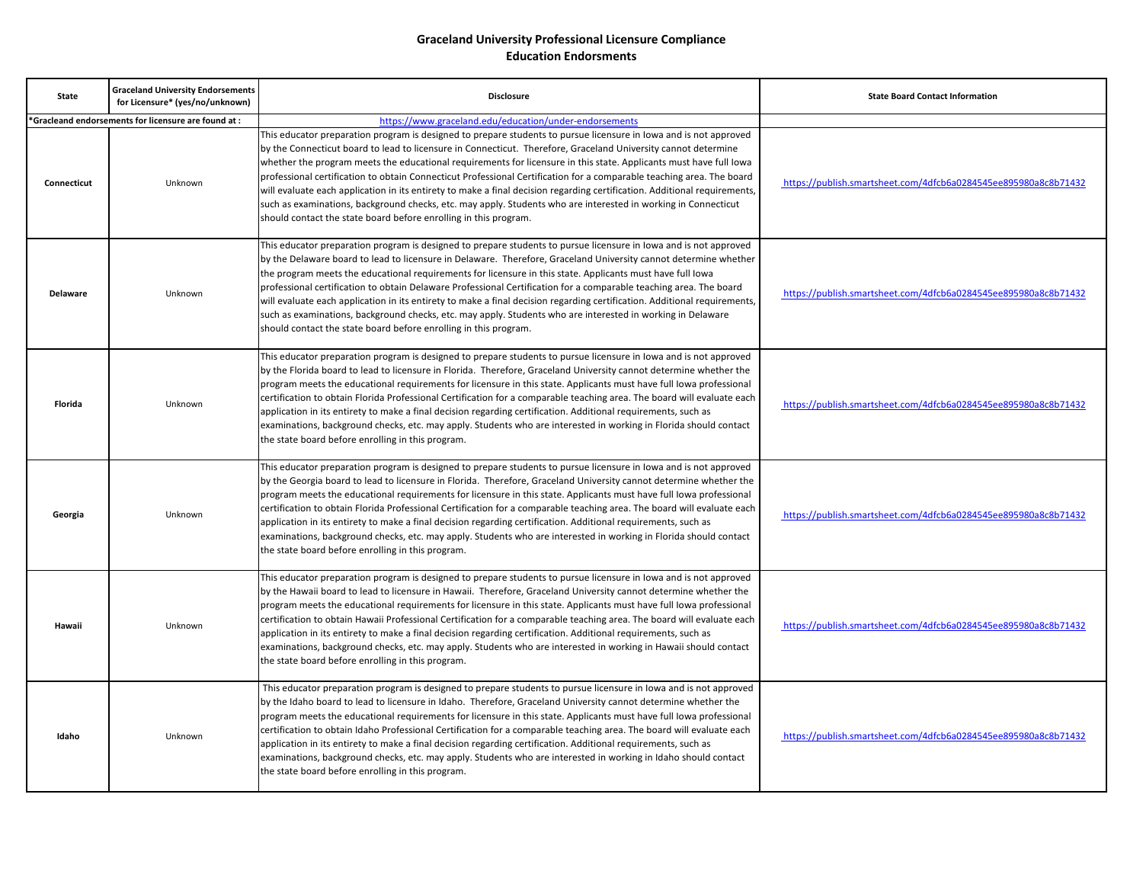| <b>State</b>    | <b>Graceland University Endorsements</b><br>for Licensure* (yes/no/unknown) | <b>Disclosure</b>                                                                                                                                                                                                                                                                                                                                                                                                                                                                                                                                                                                                                                                                                                                                                                                     | <b>State Board Contact Information</b>                          |
|-----------------|-----------------------------------------------------------------------------|-------------------------------------------------------------------------------------------------------------------------------------------------------------------------------------------------------------------------------------------------------------------------------------------------------------------------------------------------------------------------------------------------------------------------------------------------------------------------------------------------------------------------------------------------------------------------------------------------------------------------------------------------------------------------------------------------------------------------------------------------------------------------------------------------------|-----------------------------------------------------------------|
|                 | *Gracleand endorsements for licensure are found at:                         | https://www.graceland.edu/education/under-endorsements                                                                                                                                                                                                                                                                                                                                                                                                                                                                                                                                                                                                                                                                                                                                                |                                                                 |
| Connecticut     | Unknown                                                                     | This educator preparation program is designed to prepare students to pursue licensure in lowa and is not approved<br>by the Connecticut board to lead to licensure in Connecticut. Therefore, Graceland University cannot determine<br>whether the program meets the educational requirements for licensure in this state. Applicants must have full lowa<br>professional certification to obtain Connecticut Professional Certification for a comparable teaching area. The board<br>will evaluate each application in its entirety to make a final decision regarding certification. Additional requirements,<br>such as examinations, background checks, etc. may apply. Students who are interested in working in Connecticut<br>should contact the state board before enrolling in this program. | https://publish.smartsheet.com/4dfcb6a0284545ee895980a8c8b71432 |
| <b>Delaware</b> | Unknown                                                                     | This educator preparation program is designed to prepare students to pursue licensure in lowa and is not approved<br>by the Delaware board to lead to licensure in Delaware. Therefore, Graceland University cannot determine whether<br>the program meets the educational requirements for licensure in this state. Applicants must have full lowa<br>professional certification to obtain Delaware Professional Certification for a comparable teaching area. The board<br>will evaluate each application in its entirety to make a final decision regarding certification. Additional requirements,<br>such as examinations, background checks, etc. may apply. Students who are interested in working in Delaware<br>should contact the state board before enrolling in this program.             | https://publish.smartsheet.com/4dfcb6a0284545ee895980a8c8b71432 |
| Florida         | Unknown                                                                     | This educator preparation program is designed to prepare students to pursue licensure in lowa and is not approved<br>by the Florida board to lead to licensure in Florida. Therefore, Graceland University cannot determine whether the<br>program meets the educational requirements for licensure in this state. Applicants must have full lowa professional<br>certification to obtain Florida Professional Certification for a comparable teaching area. The board will evaluate each<br>application in its entirety to make a final decision regarding certification. Additional requirements, such as<br>examinations, background checks, etc. may apply. Students who are interested in working in Florida should contact<br>the state board before enrolling in this program.                 | https://publish.smartsheet.com/4dfcb6a0284545ee895980a8c8b71432 |
| Georgia         | Unknown                                                                     | This educator preparation program is designed to prepare students to pursue licensure in lowa and is not approved<br>by the Georgia board to lead to licensure in Florida. Therefore, Graceland University cannot determine whether the<br>program meets the educational requirements for licensure in this state. Applicants must have full lowa professional<br>certification to obtain Florida Professional Certification for a comparable teaching area. The board will evaluate each<br>application in its entirety to make a final decision regarding certification. Additional requirements, such as<br>examinations, background checks, etc. may apply. Students who are interested in working in Florida should contact<br>the state board before enrolling in this program.                 | https://publish.smartsheet.com/4dfcb6a0284545ee895980a8c8b71432 |
| Hawaii          | Unknown                                                                     | This educator preparation program is designed to prepare students to pursue licensure in lowa and is not approved<br>by the Hawaii board to lead to licensure in Hawaii. Therefore, Graceland University cannot determine whether the<br>program meets the educational requirements for licensure in this state. Applicants must have full lowa professional<br>certification to obtain Hawaii Professional Certification for a comparable teaching area. The board will evaluate each<br>application in its entirety to make a final decision regarding certification. Additional requirements, such as<br>examinations, background checks, etc. may apply. Students who are interested in working in Hawaii should contact<br>the state board before enrolling in this program.                     | https://publish.smartsheet.com/4dfcb6a0284545ee895980a8c8b71432 |
| Idaho           | Unknown                                                                     | This educator preparation program is designed to prepare students to pursue licensure in lowa and is not approved<br>by the Idaho board to lead to licensure in Idaho. Therefore, Graceland University cannot determine whether the<br>program meets the educational requirements for licensure in this state. Applicants must have full lowa professional<br>certification to obtain Idaho Professional Certification for a comparable teaching area. The board will evaluate each<br>application in its entirety to make a final decision regarding certification. Additional requirements, such as<br>examinations, background checks, etc. may apply. Students who are interested in working in Idaho should contact<br>the state board before enrolling in this program.                         | https://publish.smartsheet.com/4dfcb6a0284545ee895980a8c8b71432 |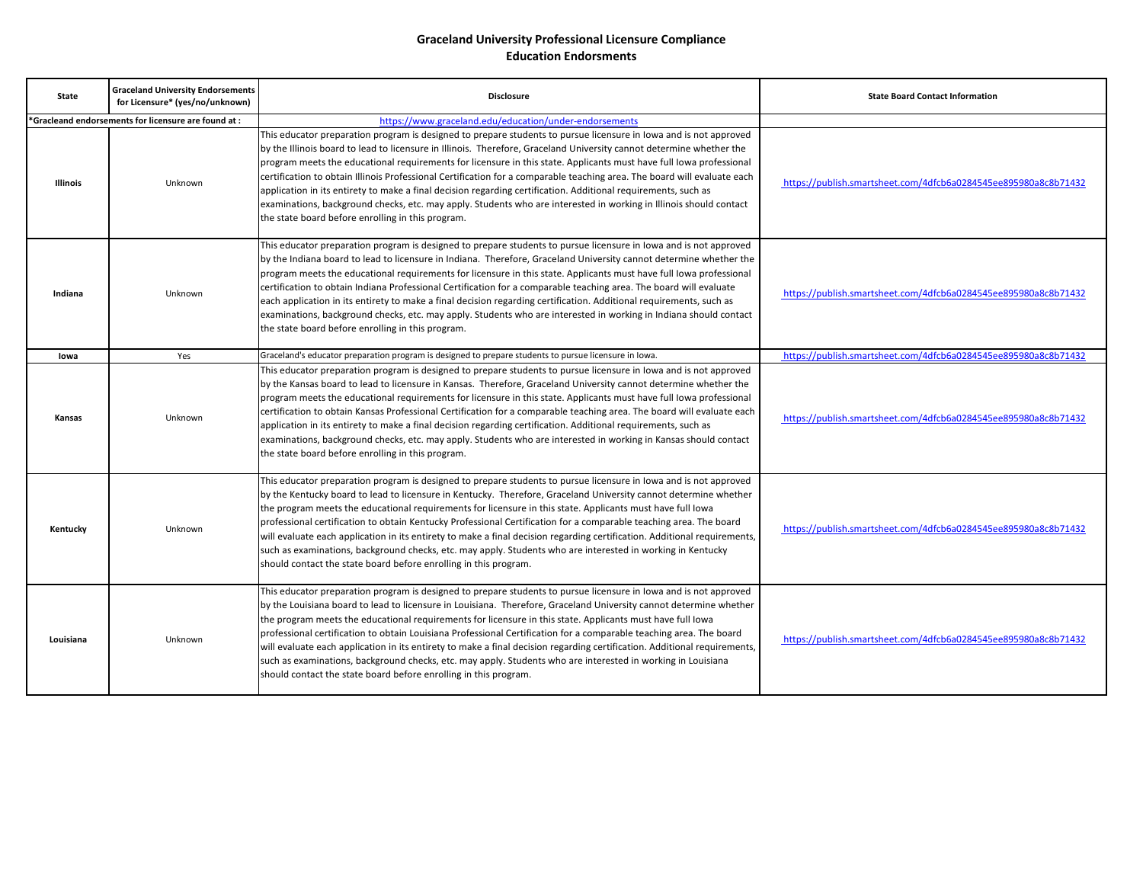| <b>State</b>                                         | <b>Graceland University Endorsements</b><br>for Licensure* (yes/no/unknown) | <b>Disclosure</b>                                                                                                                                                                                                                                                                                                                                                                                                                                                                                                                                                                                                                                                                                                                                                                             | <b>State Board Contact Information</b>                          |
|------------------------------------------------------|-----------------------------------------------------------------------------|-----------------------------------------------------------------------------------------------------------------------------------------------------------------------------------------------------------------------------------------------------------------------------------------------------------------------------------------------------------------------------------------------------------------------------------------------------------------------------------------------------------------------------------------------------------------------------------------------------------------------------------------------------------------------------------------------------------------------------------------------------------------------------------------------|-----------------------------------------------------------------|
| *Gracleand endorsements for licensure are found at : |                                                                             | https://www.graceland.edu/education/under-endorsements                                                                                                                                                                                                                                                                                                                                                                                                                                                                                                                                                                                                                                                                                                                                        |                                                                 |
| Illinois                                             | Unknown                                                                     | This educator preparation program is designed to prepare students to pursue licensure in lowa and is not approved<br>by the Illinois board to lead to licensure in Illinois. Therefore, Graceland University cannot determine whether the<br>program meets the educational requirements for licensure in this state. Applicants must have full lowa professional<br>certification to obtain Illinois Professional Certification for a comparable teaching area. The board will evaluate each<br>application in its entirety to make a final decision regarding certification. Additional requirements, such as<br>examinations, background checks, etc. may apply. Students who are interested in working in Illinois should contact<br>the state board before enrolling in this program.     | https://publish.smartsheet.com/4dfcb6a0284545ee895980a8c8b71432 |
| Indiana                                              | Unknown                                                                     | This educator preparation program is designed to prepare students to pursue licensure in lowa and is not approved<br>by the Indiana board to lead to licensure in Indiana. Therefore, Graceland University cannot determine whether the<br>program meets the educational requirements for licensure in this state. Applicants must have full lowa professional<br>certification to obtain Indiana Professional Certification for a comparable teaching area. The board will evaluate<br>each application in its entirety to make a final decision regarding certification. Additional requirements, such as<br>examinations, background checks, etc. may apply. Students who are interested in working in Indiana should contact<br>the state board before enrolling in this program.         | https://publish.smartsheet.com/4dfcb6a0284545ee895980a8c8b71432 |
| lowa                                                 | Yes                                                                         | Graceland's educator preparation program is designed to prepare students to pursue licensure in Iowa.                                                                                                                                                                                                                                                                                                                                                                                                                                                                                                                                                                                                                                                                                         | https://publish.smartsheet.com/4dfcb6a0284545ee895980a8c8b71432 |
| Kansas                                               | Unknown                                                                     | This educator preparation program is designed to prepare students to pursue licensure in lowa and is not approved<br>by the Kansas board to lead to licensure in Kansas. Therefore, Graceland University cannot determine whether the<br>program meets the educational requirements for licensure in this state. Applicants must have full lowa professional<br>certification to obtain Kansas Professional Certification for a comparable teaching area. The board will evaluate each<br>application in its entirety to make a final decision regarding certification. Additional requirements, such as<br>examinations, background checks, etc. may apply. Students who are interested in working in Kansas should contact<br>the state board before enrolling in this program.             | https://publish.smartsheet.com/4dfcb6a0284545ee895980a8c8b71432 |
| Kentucky                                             | Unknown                                                                     | This educator preparation program is designed to prepare students to pursue licensure in lowa and is not approved<br>by the Kentucky board to lead to licensure in Kentucky. Therefore, Graceland University cannot determine whether<br>the program meets the educational requirements for licensure in this state. Applicants must have full lowa<br>professional certification to obtain Kentucky Professional Certification for a comparable teaching area. The board<br>will evaluate each application in its entirety to make a final decision regarding certification. Additional requirements,<br>such as examinations, background checks, etc. may apply. Students who are interested in working in Kentucky<br>should contact the state board before enrolling in this program.     | https://publish.smartsheet.com/4dfcb6a0284545ee895980a8c8b71432 |
| Louisiana                                            | Unknown                                                                     | This educator preparation program is designed to prepare students to pursue licensure in lowa and is not approved<br>by the Louisiana board to lead to licensure in Louisiana. Therefore, Graceland University cannot determine whether<br>the program meets the educational requirements for licensure in this state. Applicants must have full lowa<br>professional certification to obtain Louisiana Professional Certification for a comparable teaching area. The board<br>will evaluate each application in its entirety to make a final decision regarding certification. Additional requirements,<br>such as examinations, background checks, etc. may apply. Students who are interested in working in Louisiana<br>should contact the state board before enrolling in this program. | https://publish.smartsheet.com/4dfcb6a0284545ee895980a8c8b71432 |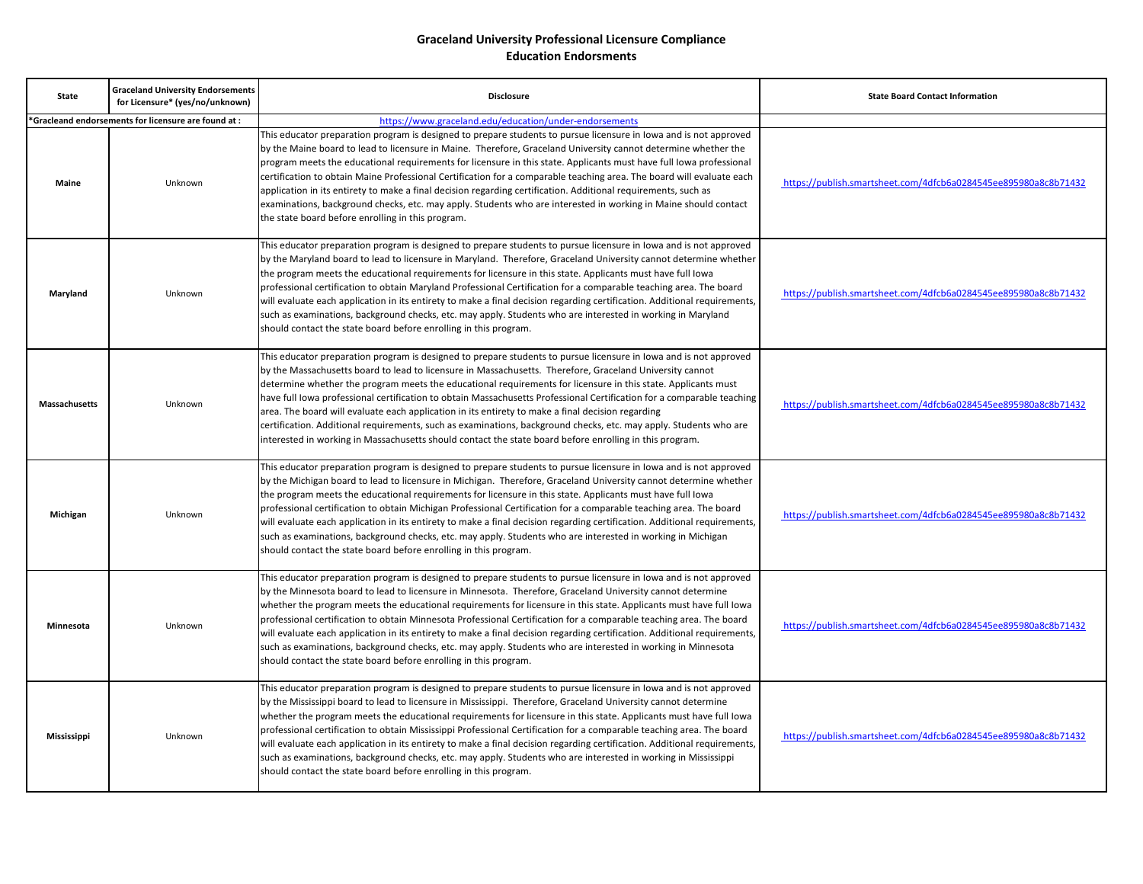| <b>State</b>         | <b>Graceland University Endorsements</b><br>for Licensure* (yes/no/unknown) | <b>Disclosure</b>                                                                                                                                                                                                                                                                                                                                                                                                                                                                                                                                                                                                                                                                                                                                                                                             | <b>State Board Contact Information</b>                          |
|----------------------|-----------------------------------------------------------------------------|---------------------------------------------------------------------------------------------------------------------------------------------------------------------------------------------------------------------------------------------------------------------------------------------------------------------------------------------------------------------------------------------------------------------------------------------------------------------------------------------------------------------------------------------------------------------------------------------------------------------------------------------------------------------------------------------------------------------------------------------------------------------------------------------------------------|-----------------------------------------------------------------|
|                      | 'Gracleand endorsements for licensure are found at :                        | https://www.graceland.edu/education/under-endorsements                                                                                                                                                                                                                                                                                                                                                                                                                                                                                                                                                                                                                                                                                                                                                        |                                                                 |
| <b>Maine</b>         | Unknown                                                                     | This educator preparation program is designed to prepare students to pursue licensure in lowa and is not approved<br>by the Maine board to lead to licensure in Maine. Therefore, Graceland University cannot determine whether the<br>program meets the educational requirements for licensure in this state. Applicants must have full lowa professional<br>certification to obtain Maine Professional Certification for a comparable teaching area. The board will evaluate each<br>application in its entirety to make a final decision regarding certification. Additional requirements, such as<br>examinations, background checks, etc. may apply. Students who are interested in working in Maine should contact<br>the state board before enrolling in this program.                                 | https://publish.smartsheet.com/4dfcb6a0284545ee895980a8c8b71432 |
| Maryland             | Unknown                                                                     | This educator preparation program is designed to prepare students to pursue licensure in lowa and is not approved<br>by the Maryland board to lead to licensure in Maryland. Therefore, Graceland University cannot determine whether<br>the program meets the educational requirements for licensure in this state. Applicants must have full lowa<br>professional certification to obtain Maryland Professional Certification for a comparable teaching area. The board<br>will evaluate each application in its entirety to make a final decision regarding certification. Additional requirements,<br>such as examinations, background checks, etc. may apply. Students who are interested in working in Maryland<br>should contact the state board before enrolling in this program.                     | https://publish.smartsheet.com/4dfcb6a0284545ee895980a8c8b71432 |
| <b>Massachusetts</b> | Unknown                                                                     | This educator preparation program is designed to prepare students to pursue licensure in lowa and is not approved<br>by the Massachusetts board to lead to licensure in Massachusetts. Therefore, Graceland University cannot<br>determine whether the program meets the educational requirements for licensure in this state. Applicants must<br>have full Iowa professional certification to obtain Massachusetts Professional Certification for a comparable teaching<br>area. The board will evaluate each application in its entirety to make a final decision regarding<br>certification. Additional requirements, such as examinations, background checks, etc. may apply. Students who are<br>interested in working in Massachusetts should contact the state board before enrolling in this program. | https://publish.smartsheet.com/4dfcb6a0284545ee895980a8c8b71432 |
| Michigan             | Unknown                                                                     | This educator preparation program is designed to prepare students to pursue licensure in lowa and is not approved<br>by the Michigan board to lead to licensure in Michigan. Therefore, Graceland University cannot determine whether<br>the program meets the educational requirements for licensure in this state. Applicants must have full loward<br>professional certification to obtain Michigan Professional Certification for a comparable teaching area. The board<br>will evaluate each application in its entirety to make a final decision regarding certification. Additional requirements,<br>such as examinations, background checks, etc. may apply. Students who are interested in working in Michigan<br>should contact the state board before enrolling in this program.                   | https://publish.smartsheet.com/4dfcb6a0284545ee895980a8c8b71432 |
| Minnesota            | Unknown                                                                     | This educator preparation program is designed to prepare students to pursue licensure in lowa and is not approved<br>by the Minnesota board to lead to licensure in Minnesota. Therefore, Graceland University cannot determine<br>whether the program meets the educational requirements for licensure in this state. Applicants must have full lowa<br>professional certification to obtain Minnesota Professional Certification for a comparable teaching area. The board<br>will evaluate each application in its entirety to make a final decision regarding certification. Additional requirements,<br>such as examinations, background checks, etc. may apply. Students who are interested in working in Minnesota<br>should contact the state board before enrolling in this program.                 | https://publish.smartsheet.com/4dfcb6a0284545ee895980a8c8b71432 |
| <b>Mississippi</b>   | Unknown                                                                     | This educator preparation program is designed to prepare students to pursue licensure in lowa and is not approved<br>by the Mississippi board to lead to licensure in Mississippi. Therefore, Graceland University cannot determine<br>whether the program meets the educational requirements for licensure in this state. Applicants must have full lowa<br>professional certification to obtain Mississippi Professional Certification for a comparable teaching area. The board<br>will evaluate each application in its entirety to make a final decision regarding certification. Additional requirements,<br>such as examinations, background checks, etc. may apply. Students who are interested in working in Mississippi<br>should contact the state board before enrolling in this program.         | https://publish.smartsheet.com/4dfcb6a0284545ee895980a8c8b71432 |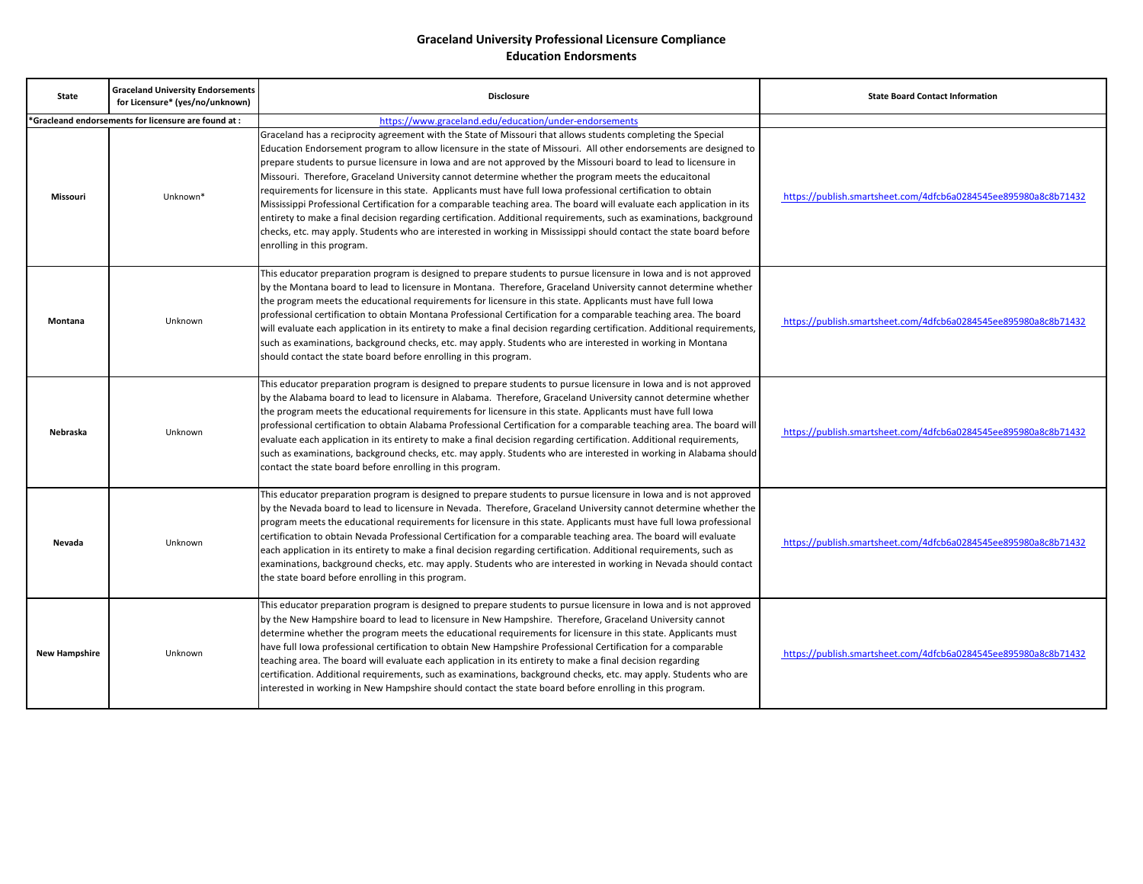| <b>State</b>                                         | <b>Graceland University Endorsements</b><br>for Licensure* (yes/no/unknown) | <b>Disclosure</b>                                                                                                                                                                                                                                                                                                                                                                                                                                                                                                                                                                                                                                                                                                                                                                                                                                                                                                                                                                    | <b>State Board Contact Information</b>                          |
|------------------------------------------------------|-----------------------------------------------------------------------------|--------------------------------------------------------------------------------------------------------------------------------------------------------------------------------------------------------------------------------------------------------------------------------------------------------------------------------------------------------------------------------------------------------------------------------------------------------------------------------------------------------------------------------------------------------------------------------------------------------------------------------------------------------------------------------------------------------------------------------------------------------------------------------------------------------------------------------------------------------------------------------------------------------------------------------------------------------------------------------------|-----------------------------------------------------------------|
| *Gracleand endorsements for licensure are found at : |                                                                             | https://www.graceland.edu/education/under-endorsements                                                                                                                                                                                                                                                                                                                                                                                                                                                                                                                                                                                                                                                                                                                                                                                                                                                                                                                               |                                                                 |
| Missouri                                             | Unknown*                                                                    | Graceland has a reciprocity agreement with the State of Missouri that allows students completing the Special<br>Education Endorsement program to allow licensure in the state of Missouri. All other endorsements are designed to<br>prepare students to pursue licensure in lowa and are not approved by the Missouri board to lead to licensure in<br>Missouri. Therefore, Graceland University cannot determine whether the program meets the educaitonal<br>requirements for licensure in this state. Applicants must have full lowa professional certification to obtain<br>Mississippi Professional Certification for a comparable teaching area. The board will evaluate each application in its<br>entirety to make a final decision regarding certification. Additional requirements, such as examinations, background<br>checks, etc. may apply. Students who are interested in working in Mississippi should contact the state board before<br>enrolling in this program. | https://publish.smartsheet.com/4dfcb6a0284545ee895980a8c8b71432 |
| Montana                                              | Unknown                                                                     | This educator preparation program is designed to prepare students to pursue licensure in lowa and is not approved<br>by the Montana board to lead to licensure in Montana. Therefore, Graceland University cannot determine whether<br>the program meets the educational requirements for licensure in this state. Applicants must have full lowa<br>professional certification to obtain Montana Professional Certification for a comparable teaching area. The board<br>will evaluate each application in its entirety to make a final decision regarding certification. Additional requirements,<br>such as examinations, background checks, etc. may apply. Students who are interested in working in Montana<br>should contact the state board before enrolling in this program.                                                                                                                                                                                                | https://publish.smartsheet.com/4dfcb6a0284545ee895980a8c8b71432 |
| <b>Nebraska</b>                                      | Unknown                                                                     | This educator preparation program is designed to prepare students to pursue licensure in lowa and is not approved<br>by the Alabama board to lead to licensure in Alabama. Therefore, Graceland University cannot determine whether<br>the program meets the educational requirements for licensure in this state. Applicants must have full lowa<br>professional certification to obtain Alabama Professional Certification for a comparable teaching area. The board will<br>evaluate each application in its entirety to make a final decision regarding certification. Additional requirements,<br>such as examinations, background checks, etc. may apply. Students who are interested in working in Alabama should<br>contact the state board before enrolling in this program.                                                                                                                                                                                                | https://publish.smartsheet.com/4dfcb6a0284545ee895980a8c8b71432 |
| Nevada                                               | Unknown                                                                     | This educator preparation program is designed to prepare students to pursue licensure in lowa and is not approved<br>by the Nevada board to lead to licensure in Nevada. Therefore, Graceland University cannot determine whether the<br>program meets the educational requirements for licensure in this state. Applicants must have full lowa professional<br>certification to obtain Nevada Professional Certification for a comparable teaching area. The board will evaluate<br>each application in its entirety to make a final decision regarding certification. Additional requirements, such as<br>examinations, background checks, etc. may apply. Students who are interested in working in Nevada should contact<br>the state board before enrolling in this program.                                                                                                                                                                                                    | https://publish.smartsheet.com/4dfcb6a0284545ee895980a8c8b71432 |
| <b>New Hampshire</b>                                 | Unknown                                                                     | This educator preparation program is designed to prepare students to pursue licensure in lowa and is not approved<br>by the New Hampshire board to lead to licensure in New Hampshire. Therefore, Graceland University cannot<br>determine whether the program meets the educational requirements for licensure in this state. Applicants must<br>have full lowa professional certification to obtain New Hampshire Professional Certification for a comparable<br>teaching area. The board will evaluate each application in its entirety to make a final decision regarding<br>certification. Additional requirements, such as examinations, background checks, etc. may apply. Students who are<br>interested in working in New Hampshire should contact the state board before enrolling in this program.                                                                                                                                                                        | https://publish.smartsheet.com/4dfcb6a0284545ee895980a8c8b71432 |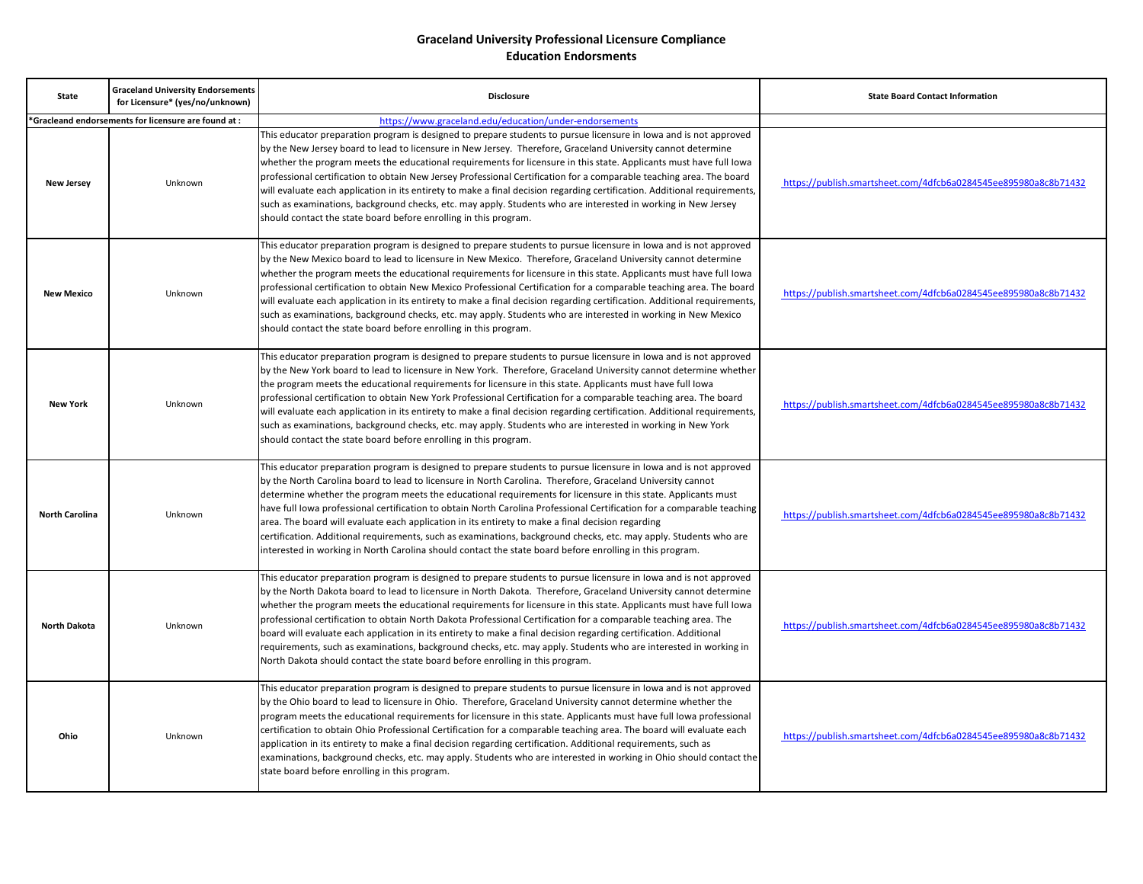| <b>State</b>          | <b>Graceland University Endorsements</b><br>for Licensure* (yes/no/unknown) | <b>Disclosure</b>                                                                                                                                                                                                                                                                                                                                                                                                                                                                                                                                                                                                                                                                                                                                                                                                 | <b>State Board Contact Information</b>                          |
|-----------------------|-----------------------------------------------------------------------------|-------------------------------------------------------------------------------------------------------------------------------------------------------------------------------------------------------------------------------------------------------------------------------------------------------------------------------------------------------------------------------------------------------------------------------------------------------------------------------------------------------------------------------------------------------------------------------------------------------------------------------------------------------------------------------------------------------------------------------------------------------------------------------------------------------------------|-----------------------------------------------------------------|
|                       | *Gracleand endorsements for licensure are found at:                         | https://www.graceland.edu/education/under-endorsements                                                                                                                                                                                                                                                                                                                                                                                                                                                                                                                                                                                                                                                                                                                                                            |                                                                 |
| <b>New Jersey</b>     | Unknown                                                                     | This educator preparation program is designed to prepare students to pursue licensure in lowa and is not approved<br>by the New Jersey board to lead to licensure in New Jersey. Therefore, Graceland University cannot determine<br>whether the program meets the educational requirements for licensure in this state. Applicants must have full lowa<br>professional certification to obtain New Jersey Professional Certification for a comparable teaching area. The board<br>will evaluate each application in its entirety to make a final decision regarding certification. Additional requirements,<br>such as examinations, background checks, etc. may apply. Students who are interested in working in New Jersey<br>should contact the state board before enrolling in this program.                 | https://publish.smartsheet.com/4dfcb6a0284545ee895980a8c8b71432 |
| <b>New Mexico</b>     | Unknown                                                                     | This educator preparation program is designed to prepare students to pursue licensure in lowa and is not approved<br>by the New Mexico board to lead to licensure in New Mexico. Therefore, Graceland University cannot determine<br>whether the program meets the educational requirements for licensure in this state. Applicants must have full lowa<br>professional certification to obtain New Mexico Professional Certification for a comparable teaching area. The board<br>will evaluate each application in its entirety to make a final decision regarding certification. Additional requirements,<br>such as examinations, background checks, etc. may apply. Students who are interested in working in New Mexico<br>should contact the state board before enrolling in this program.                 | https://publish.smartsheet.com/4dfcb6a0284545ee895980a8c8b71432 |
| <b>New York</b>       | Unknown                                                                     | This educator preparation program is designed to prepare students to pursue licensure in lowa and is not approved<br>by the New York board to lead to licensure in New York. Therefore, Graceland University cannot determine whether<br>the program meets the educational requirements for licensure in this state. Applicants must have full lowa<br>professional certification to obtain New York Professional Certification for a comparable teaching area. The board<br>will evaluate each application in its entirety to make a final decision regarding certification. Additional requirements,<br>such as examinations, background checks, etc. may apply. Students who are interested in working in New York<br>should contact the state board before enrolling in this program.                         | https://publish.smartsheet.com/4dfcb6a0284545ee895980a8c8b71432 |
| <b>North Carolina</b> | Unknown                                                                     | This educator preparation program is designed to prepare students to pursue licensure in lowa and is not approved<br>by the North Carolina board to lead to licensure in North Carolina. Therefore, Graceland University cannot<br>determine whether the program meets the educational requirements for licensure in this state. Applicants must<br>have full lowa professional certification to obtain North Carolina Professional Certification for a comparable teaching<br>area. The board will evaluate each application in its entirety to make a final decision regarding<br>certification. Additional requirements, such as examinations, background checks, etc. may apply. Students who are<br>interested in working in North Carolina should contact the state board before enrolling in this program. | https://publish.smartsheet.com/4dfcb6a0284545ee895980a8c8b71432 |
| <b>North Dakota</b>   | Unknown                                                                     | This educator preparation program is designed to prepare students to pursue licensure in Iowa and is not approved<br>by the North Dakota board to lead to licensure in North Dakota. Therefore, Graceland University cannot determine<br>whether the program meets the educational requirements for licensure in this state. Applicants must have full lowa<br>professional certification to obtain North Dakota Professional Certification for a comparable teaching area. The<br>board will evaluate each application in its entirety to make a final decision regarding certification. Additional<br>requirements, such as examinations, background checks, etc. may apply. Students who are interested in working in<br>North Dakota should contact the state board before enrolling in this program.         | https://publish.smartsheet.com/4dfcb6a0284545ee895980a8c8b71432 |
| Ohio                  | Unknown                                                                     | This educator preparation program is designed to prepare students to pursue licensure in lowa and is not approved<br>by the Ohio board to lead to licensure in Ohio. Therefore, Graceland University cannot determine whether the<br>program meets the educational requirements for licensure in this state. Applicants must have full lowa professional<br>certification to obtain Ohio Professional Certification for a comparable teaching area. The board will evaluate each<br>application in its entirety to make a final decision regarding certification. Additional requirements, such as<br>examinations, background checks, etc. may apply. Students who are interested in working in Ohio should contact the<br>state board before enrolling in this program.                                         | https://publish.smartsheet.com/4dfcb6a0284545ee895980a8c8b71432 |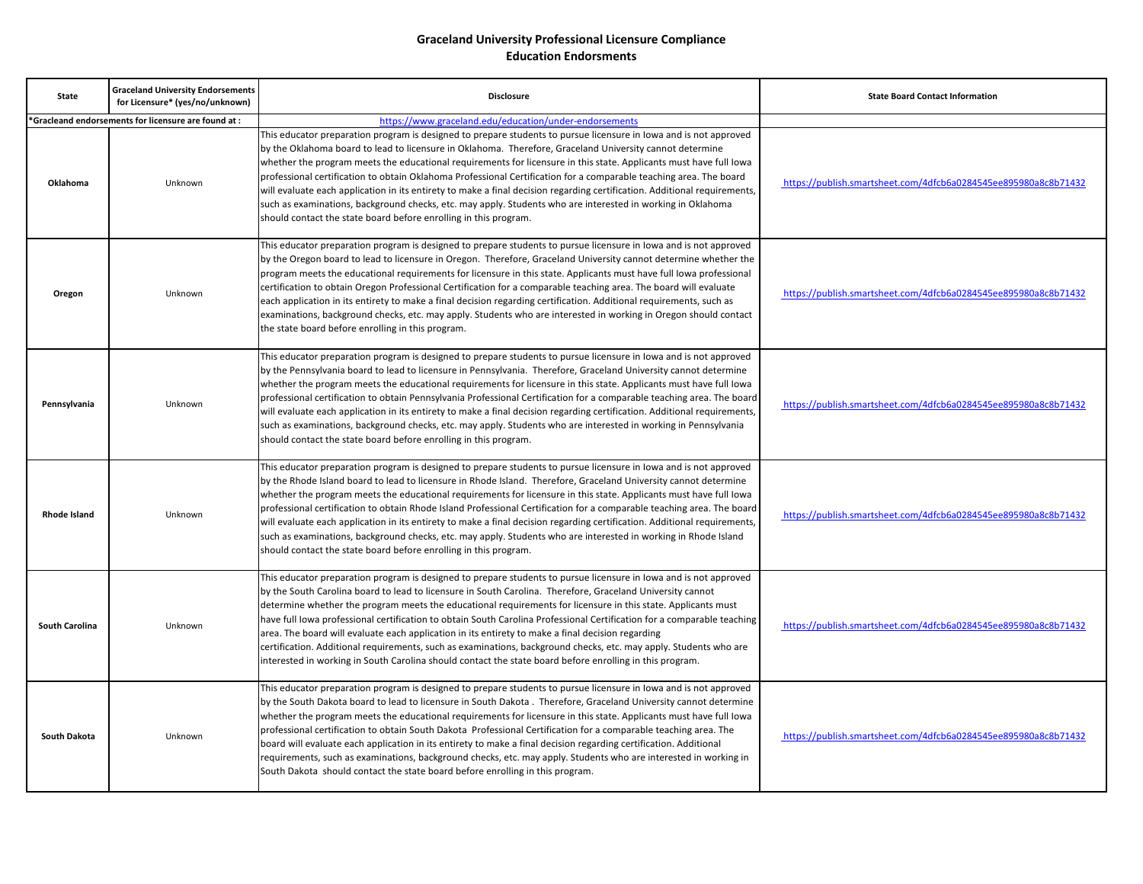| <b>State</b>          | <b>Graceland University Endorsements</b><br>for Licensure* (yes/no/unknown) | <b>Disclosure</b>                                                                                                                                                                                                                                                                                                                                                                                                                                                                                                                                                                                                                                                                                                                                                                                                 | <b>State Board Contact Information</b>                          |
|-----------------------|-----------------------------------------------------------------------------|-------------------------------------------------------------------------------------------------------------------------------------------------------------------------------------------------------------------------------------------------------------------------------------------------------------------------------------------------------------------------------------------------------------------------------------------------------------------------------------------------------------------------------------------------------------------------------------------------------------------------------------------------------------------------------------------------------------------------------------------------------------------------------------------------------------------|-----------------------------------------------------------------|
|                       | 'Gracleand endorsements for licensure are found at :                        | https://www.graceland.edu/education/under-endorsements                                                                                                                                                                                                                                                                                                                                                                                                                                                                                                                                                                                                                                                                                                                                                            |                                                                 |
| Oklahoma              | Unknown                                                                     | This educator preparation program is designed to prepare students to pursue licensure in lowa and is not approved<br>by the Oklahoma board to lead to licensure in Oklahoma. Therefore, Graceland University cannot determine<br>whether the program meets the educational requirements for licensure in this state. Applicants must have full lowa<br>professional certification to obtain Oklahoma Professional Certification for a comparable teaching area. The board<br>will evaluate each application in its entirety to make a final decision regarding certification. Additional requirements,<br>such as examinations, background checks, etc. may apply. Students who are interested in working in Oklahoma<br>should contact the state board before enrolling in this program.                         | https://publish.smartsheet.com/4dfcb6a0284545ee895980a8c8b71432 |
| Oregon                | Unknown                                                                     | This educator preparation program is designed to prepare students to pursue licensure in lowa and is not approved<br>by the Oregon board to lead to licensure in Oregon. Therefore, Graceland University cannot determine whether the<br>program meets the educational requirements for licensure in this state. Applicants must have full lowa professional<br>certification to obtain Oregon Professional Certification for a comparable teaching area. The board will evaluate<br>each application in its entirety to make a final decision regarding certification. Additional requirements, such as<br>examinations, background checks, etc. may apply. Students who are interested in working in Oregon should contact<br>the state board before enrolling in this program.                                 | https://publish.smartsheet.com/4dfcb6a0284545ee895980a8c8b71432 |
| Pennsylvania          | Unknown                                                                     | This educator preparation program is designed to prepare students to pursue licensure in lowa and is not approved<br>by the Pennsylvania board to lead to licensure in Pennsylvania. Therefore, Graceland University cannot determine<br>whether the program meets the educational requirements for licensure in this state. Applicants must have full lowa<br>professional certification to obtain Pennsylvania Professional Certification for a comparable teaching area. The board<br>will evaluate each application in its entirety to make a final decision regarding certification. Additional requirements,<br>such as examinations, background checks, etc. may apply. Students who are interested in working in Pennsylvania<br>should contact the state board before enrolling in this program.         | https://publish.smartsheet.com/4dfcb6a0284545ee895980a8c8b71432 |
| <b>Rhode Island</b>   | Unknown                                                                     | This educator preparation program is designed to prepare students to pursue licensure in lowa and is not approved<br>by the Rhode Island board to lead to licensure in Rhode Island. Therefore, Graceland University cannot determine<br>whether the program meets the educational requirements for licensure in this state. Applicants must have full lowa<br>professional certification to obtain Rhode Island Professional Certification for a comparable teaching area. The board<br>will evaluate each application in its entirety to make a final decision regarding certification. Additional requirements,<br>such as examinations, background checks, etc. may apply. Students who are interested in working in Rhode Island<br>should contact the state board before enrolling in this program.         | https://publish.smartsheet.com/4dfcb6a0284545ee895980a8c8b71432 |
| <b>South Carolina</b> | Unknown                                                                     | This educator preparation program is designed to prepare students to pursue licensure in lowa and is not approved<br>by the South Carolina board to lead to licensure in South Carolina. Therefore, Graceland University cannot<br>determine whether the program meets the educational requirements for licensure in this state. Applicants must<br>have full lowa professional certification to obtain South Carolina Professional Certification for a comparable teaching<br>area. The board will evaluate each application in its entirety to make a final decision regarding<br>certification. Additional requirements, such as examinations, background checks, etc. may apply. Students who are<br>interested in working in South Carolina should contact the state board before enrolling in this program. | https://publish.smartsheet.com/4dfcb6a0284545ee895980a8c8b71432 |
| <b>South Dakota</b>   | Unknown                                                                     | This educator preparation program is designed to prepare students to pursue licensure in lowa and is not approved<br>by the South Dakota board to lead to licensure in South Dakota. Therefore, Graceland University cannot determine<br>whether the program meets the educational requirements for licensure in this state. Applicants must have full lowa<br>professional certification to obtain South Dakota Professional Certification for a comparable teaching area. The<br>board will evaluate each application in its entirety to make a final decision regarding certification. Additional<br>requirements, such as examinations, background checks, etc. may apply. Students who are interested in working in<br>South Dakota should contact the state board before enrolling in this program.         | https://publish.smartsheet.com/4dfcb6a0284545ee895980a8c8b71432 |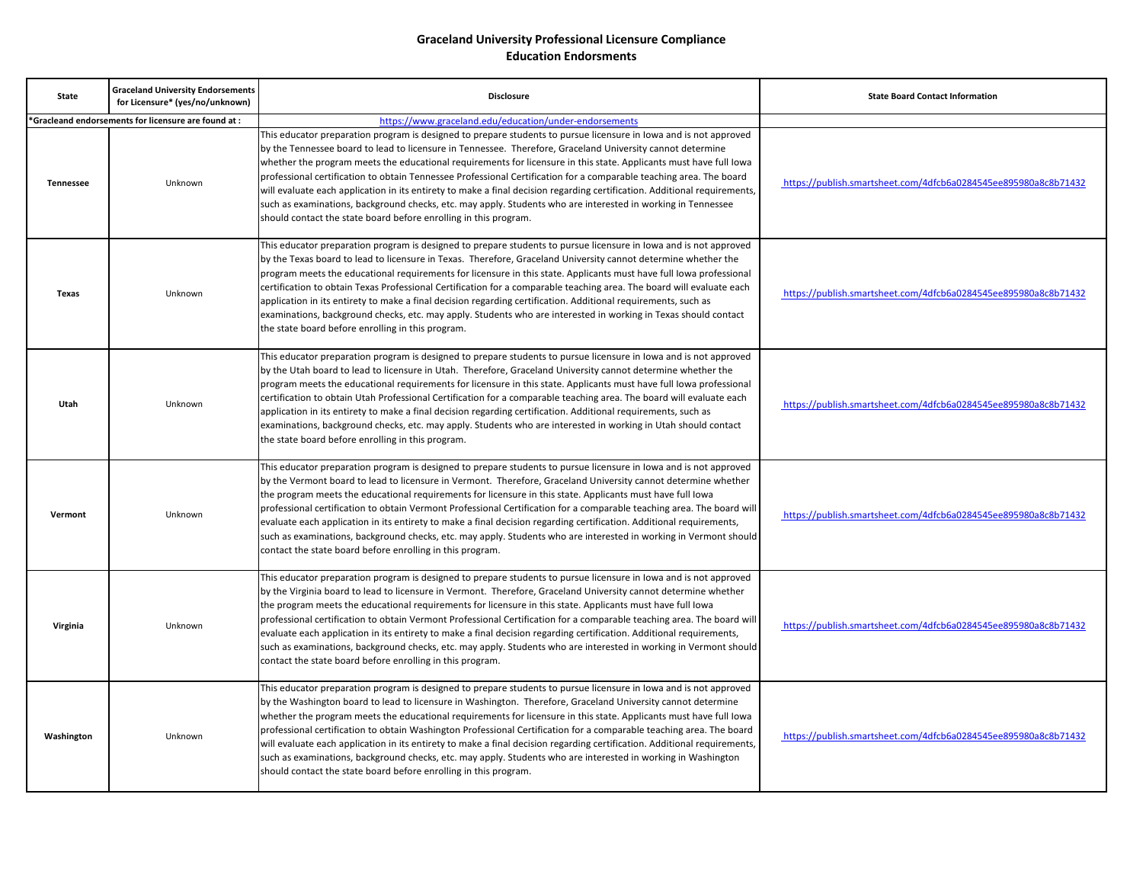| <b>State</b>     | <b>Graceland University Endorsements</b><br>for Licensure* (yes/no/unknown) | <b>Disclosure</b>                                                                                                                                                                                                                                                                                                                                                                                                                                                                                                                                                                                                                                                                                                                                                                                 | <b>State Board Contact Information</b>                          |
|------------------|-----------------------------------------------------------------------------|---------------------------------------------------------------------------------------------------------------------------------------------------------------------------------------------------------------------------------------------------------------------------------------------------------------------------------------------------------------------------------------------------------------------------------------------------------------------------------------------------------------------------------------------------------------------------------------------------------------------------------------------------------------------------------------------------------------------------------------------------------------------------------------------------|-----------------------------------------------------------------|
|                  | 'Gracleand endorsements for licensure are found at :                        | https://www.graceland.edu/education/under-endorsements                                                                                                                                                                                                                                                                                                                                                                                                                                                                                                                                                                                                                                                                                                                                            |                                                                 |
| <b>Tennessee</b> | Unknown                                                                     | This educator preparation program is designed to prepare students to pursue licensure in lowa and is not approved<br>by the Tennessee board to lead to licensure in Tennessee. Therefore, Graceland University cannot determine<br>whether the program meets the educational requirements for licensure in this state. Applicants must have full lowa<br>professional certification to obtain Tennessee Professional Certification for a comparable teaching area. The board<br>will evaluate each application in its entirety to make a final decision regarding certification. Additional requirements,<br>such as examinations, background checks, etc. may apply. Students who are interested in working in Tennessee<br>should contact the state board before enrolling in this program.     | https://publish.smartsheet.com/4dfcb6a0284545ee895980a8c8b71432 |
| <b>Texas</b>     | Unknown                                                                     | This educator preparation program is designed to prepare students to pursue licensure in lowa and is not approved<br>by the Texas board to lead to licensure in Texas. Therefore, Graceland University cannot determine whether the<br>program meets the educational requirements for licensure in this state. Applicants must have full lowa professional<br>certification to obtain Texas Professional Certification for a comparable teaching area. The board will evaluate each<br>application in its entirety to make a final decision regarding certification. Additional requirements, such as<br>examinations, background checks, etc. may apply. Students who are interested in working in Texas should contact<br>the state board before enrolling in this program.                     | https://publish.smartsheet.com/4dfcb6a0284545ee895980a8c8b71432 |
| Utah             | Unknown                                                                     | This educator preparation program is designed to prepare students to pursue licensure in lowa and is not approved<br>by the Utah board to lead to licensure in Utah. Therefore, Graceland University cannot determine whether the<br>program meets the educational requirements for licensure in this state. Applicants must have full lowa professional<br>certification to obtain Utah Professional Certification for a comparable teaching area. The board will evaluate each<br>application in its entirety to make a final decision regarding certification. Additional requirements, such as<br>examinations, background checks, etc. may apply. Students who are interested in working in Utah should contact<br>the state board before enrolling in this program.                         | https://publish.smartsheet.com/4dfcb6a0284545ee895980a8c8b71432 |
| Vermont          | Unknown                                                                     | This educator preparation program is designed to prepare students to pursue licensure in lowa and is not approved<br>by the Vermont board to lead to licensure in Vermont. Therefore, Graceland University cannot determine whether<br>the program meets the educational requirements for licensure in this state. Applicants must have full loward<br>professional certification to obtain Vermont Professional Certification for a comparable teaching area. The board will<br>evaluate each application in its entirety to make a final decision regarding certification. Additional requirements,<br>such as examinations, background checks, etc. may apply. Students who are interested in working in Vermont should<br>contact the state board before enrolling in this program.           | https://publish.smartsheet.com/4dfcb6a0284545ee895980a8c8b71432 |
| Virginia         | Unknown                                                                     | This educator preparation program is designed to prepare students to pursue licensure in lowa and is not approved<br>by the Virginia board to lead to licensure in Vermont. Therefore, Graceland University cannot determine whether<br>the program meets the educational requirements for licensure in this state. Applicants must have full loward<br>professional certification to obtain Vermont Professional Certification for a comparable teaching area. The board will<br>evaluate each application in its entirety to make a final decision regarding certification. Additional requirements,<br>such as examinations, background checks, etc. may apply. Students who are interested in working in Vermont should<br>contact the state board before enrolling in this program.          | https://publish.smartsheet.com/4dfcb6a0284545ee895980a8c8b71432 |
| Washington       | Unknown                                                                     | This educator preparation program is designed to prepare students to pursue licensure in lowa and is not approved<br>by the Washington board to lead to licensure in Washington. Therefore, Graceland University cannot determine<br>whether the program meets the educational requirements for licensure in this state. Applicants must have full lowa<br>professional certification to obtain Washington Professional Certification for a comparable teaching area. The board<br>will evaluate each application in its entirety to make a final decision regarding certification. Additional requirements,<br>such as examinations, background checks, etc. may apply. Students who are interested in working in Washington<br>should contact the state board before enrolling in this program. | https://publish.smartsheet.com/4dfcb6a0284545ee895980a8c8b71432 |